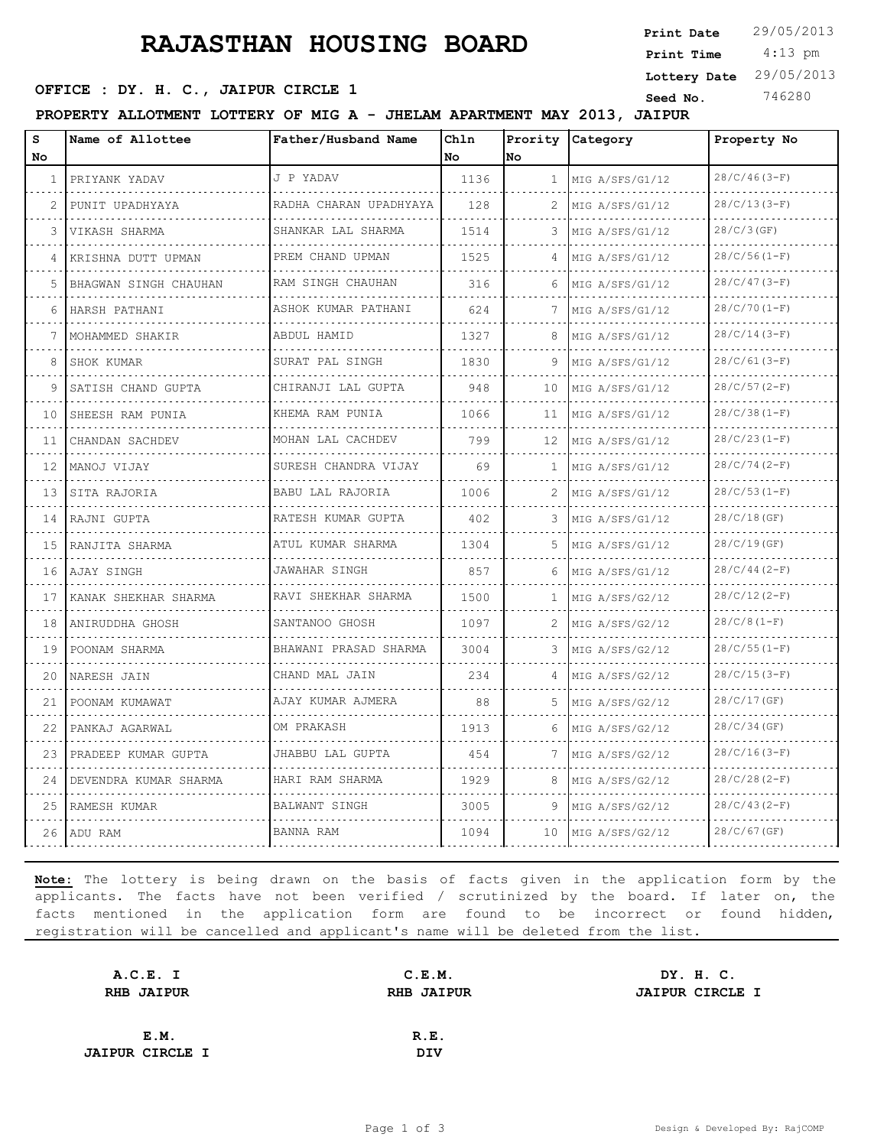# **RAJASTHAN HOUSING BOARD**

 4:13 pm **Print Date** 29/05/2013 **Print Time Lottery Date** 29/05/2013

### **SEED OFFICE : DY. H. C., JAIPUR CIRCLE 1 Seed No.** 746280

**PROPERTY ALLOTMENT LOTTERY OF MIG A - JHELAM APARTMENT MAY 2013, JAIPUR**

| S<br>No. | Name of Allottee      | Father/Husband Name       | Chln<br>No | No           | Prority Category | Property No         |  |
|----------|-----------------------|---------------------------|------------|--------------|------------------|---------------------|--|
| 1        | PRIYANK YADAV<br>.    | J P YADAV                 | 1136       | $\mathbf{1}$ | MIG A/SFS/G1/12  | $28/C/46(3-F)$      |  |
|          | PUNIT UPADHYAYA       | RADHA CHARAN UPADHYAYA    | 128        |              | MIG A/SFS/G1/12  | .<br>$28/C/13(3-F)$ |  |
| 3        | VIKASH SHARMA         | .<br>SHANKAR LAL SHARMA   | 1514       | 3            | MIG A/SFS/G1/12  | $28/C/3$ (GF)       |  |
| 4        | KRISHNA DUTT UPMAN    | PREM CHAND UPMAN          | 1525       | $\Delta$     | MIG A/SFS/G1/12  | $28/C/56(1-F)$      |  |
| 5.       | BHAGWAN SINGH CHAUHAN | .<br>RAM SINGH CHAUHAN    | 316        | 6            | MIG A/SFS/G1/12  | $28/C/47(3-F)$      |  |
| 6        | HARSH PATHANI         | ASHOK KUMAR PATHANI       | 624        | 7            | MIG A/SFS/G1/12  | $28/C/70(1-F)$      |  |
| 7        | MOHAMMED SHAKIR       | ABDUL HAMID<br>.          | 1327       | 8            | MIG A/SFS/G1/12  | $28/C/14(3-F)$      |  |
| 8        | SHOK KUMAR            | SURAT PAL SINGH           | 1830       | 9            | MIG A/SFS/G1/12  | $28/C/61(3-F)$      |  |
| 9        | SATISH CHAND GUPTA    | CHIRANJI LAL GUPTA        | 948        | 10           | MIG A/SFS/G1/12  | $28/C/57(2-F)$      |  |
| 10       | SHEESH RAM PUNIA      | KHEMA RAM PUNIA           | 1066       | 11           | MIG A/SFS/G1/12  | $28/C/38(1-F)$      |  |
| 11       | CHANDAN SACHDEV       | MOHAN LAL CACHDEV         | 799        | 12           | MIG A/SFS/G1/12  | $28/C/23(1-F)$      |  |
| 12       | MANOJ VIJAY           | SURESH CHANDRA VIJAY<br>. | 69         | 1            | MIG A/SFS/G1/12  | $28/C/74(2-F)$      |  |
| 13       | SITA RAJORIA          | BABU LAL RAJORIA          | 1006       | 2            | MIG A/SFS/G1/12  | $28/C/53(1-F)$      |  |
| 14       | RAJNI GUPTA           | RATESH KUMAR GUPTA        | 402.       | 3            | MIG A/SFS/G1/12  | 28/C/18(GF)         |  |
| 15       | RANJITA SHARMA        | ATUL KUMAR SHARMA         | 1304       | .5.          | MIG A/SFS/G1/12  | 28/C/19(GF)         |  |
| 16       | AJAY SINGH            | JAWAHAR SINGH             | 857        | 6            | MIG A/SFS/G1/12  | $28/C/44(2-F)$      |  |
| 17       | KANAK SHEKHAR SHARMA  | RAVI SHEKHAR SHARMA       | 1500       | 1.           | MIG A/SFS/G2/12  | $28/C/12(2-F)$      |  |
| 18       | ANIRUDDHA GHOSH       | SANTANOO GHOSH            | 1097       | 2            | MIG A/SFS/G2/12  | $28/C/8(1-F)$       |  |
| 19       | POONAM SHARMA         | BHAWANI PRASAD SHARMA     | 3004       | 3            | MIG A/SFS/G2/12  | $28/C/55(1-F)$      |  |
| 20       | NARESH JAIN           | CHAND MAL JAIN            | 234        |              | MIG A/SFS/G2/12  | $28/C/15(3-F)$      |  |
| 21       | POONAM KUMAWAT        | AJAY KUMAR AJMERA         | 88         | 5.           | MIG A/SFS/G2/12  | 28/C/17(GF)         |  |
| 22       | PANKAJ AGARWAL        | OM PRAKASH                | 1913       | 6            | MIG A/SFS/G2/12  | $28/C/34$ (GF)      |  |
| 23       | PRADEEP KUMAR GUPTA   | JHABBU LAL GUPTA          | 454        | 7            | MIG A/SFS/G2/12  | $28/C/16(3-F)$      |  |
| 24       | DEVENDRA KUMAR SHARMA | HARI RAM SHARMA           | 1929       | 8            | MIG A/SFS/G2/12  | $28/C/28(2-F)$      |  |
| 25       | RAMESH KUMAR          | BALWANT SINGH             | 3005       | 9            | MIG A/SFS/G2/12  | $28/C/43(2-F)$      |  |
|          | 26 ADU RAM            | BANNA RAM                 | 1094       | 10           | MIG A/SFS/G2/12  | $28/C/67$ (GF)      |  |

**Note:** The lottery is being drawn on the basis of facts given in the application form by the applicants. The facts have not been verified / scrutinized by the board. If later on, the facts mentioned in the application form are found to be incorrect or found hidden, registration will be cancelled and applicant's name will be deleted from the list.

| A.C.E. I               | C.E.M.            | DY. H. C.              |
|------------------------|-------------------|------------------------|
| <b>RHB JAIPUR</b>      | <b>RHB JAIPUR</b> | <b>JAIPUR CIRCLE I</b> |
|                        |                   |                        |
| E.M.                   | R.E.              |                        |
| <b>JAIPUR CIRCLE I</b> | <b>DIV</b>        |                        |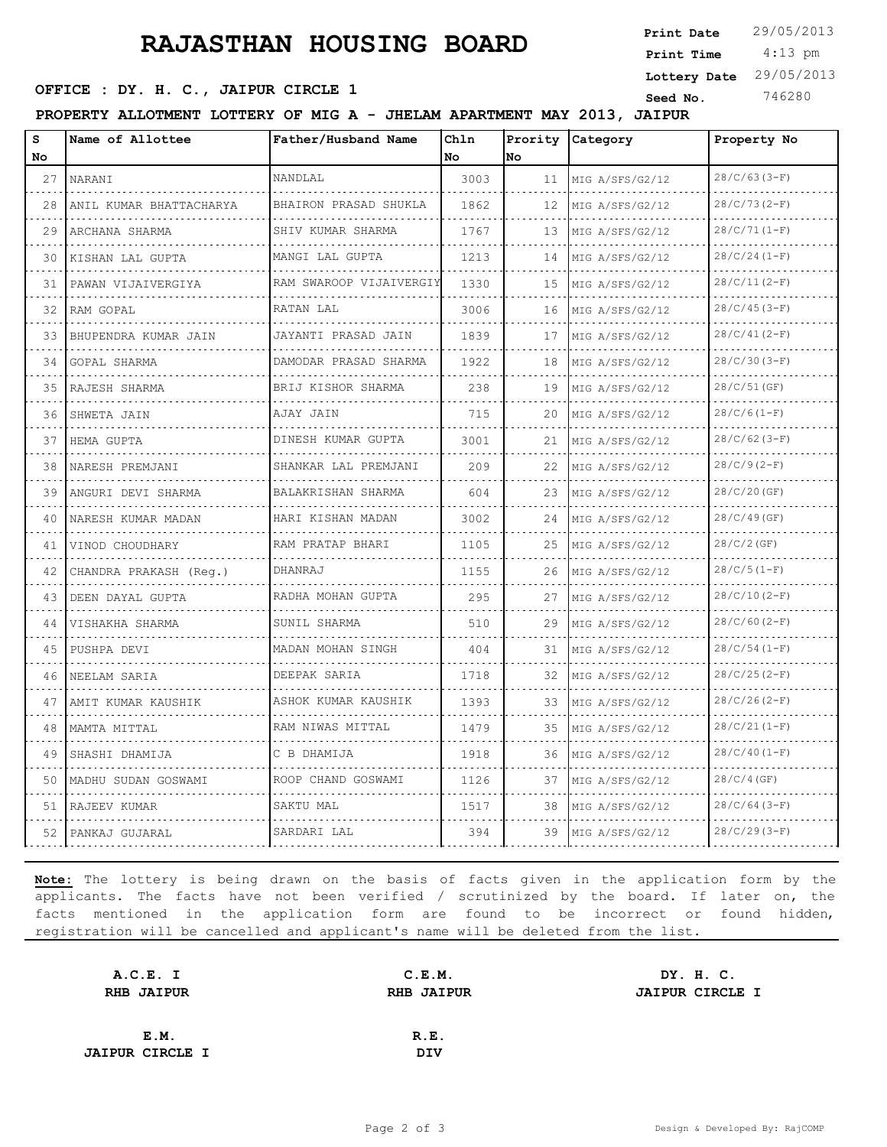# **RAJASTHAN HOUSING BOARD**

 4:13 pm **Print Date** 29/05/2013 **Print Time Lottery Date** 29/05/2013

### **SEED OFFICE : DY. H. C., JAIPUR CIRCLE 1 Seed No.** 746280

**PROPERTY ALLOTMENT LOTTERY OF MIG A - JHELAM APARTMENT MAY 2013, JAIPUR**

| s<br>No | Name of Allottee        | Father/Husband Name          | Chln<br>No | No. | Prority Category     | Property No     |  |
|---------|-------------------------|------------------------------|------------|-----|----------------------|-----------------|--|
| 27      | NARANI                  | NANDLAL                      | 3003       | 11  | MIG A/SFS/G2/12      | $28/C/63(3-F)$  |  |
| 28      | ANIL KUMAR BHATTACHARYA | BHAIRON PRASAD SHUKLA        | 1862       | 12  | .<br>MIG A/SFS/G2/12 | $28/C/73(2-F)$  |  |
| 29      | ARCHANA SHARMA          | SHIV KUMAR SHARMA            | 1767       | 13  | MIG A/SFS/G2/12      | $28/C/71(1-F)$  |  |
| 30      | KISHAN LAL GUPTA        | MANGI LAL GUPTA              | 1213       | 14  | MIG A/SFS/G2/12      | $28/C/24(1-F)$  |  |
| 31      | PAWAN VIJAIVERGIYA      | .<br>RAM SWAROOP VIJAIVERGIY | 1330       | 15  | MIG A/SFS/G2/12      | $28/C/11(2-F)$  |  |
| 32      | RAM GOPAL               | RATAN LAL                    | 3006       | 16  | MIG A/SFS/G2/12      | $28/C/45(3-F)$  |  |
| 33      | BHUPENDRA KUMAR JAIN    | JAYANTI PRASAD JAIN<br>.     | 1839       | 17  | MIG A/SFS/G2/12      | $28/C/41(2-F)$  |  |
| 34      | GOPAL SHARMA            | DAMODAR PRASAD SHARMA        | 1922       | 18  | MIG A/SFS/G2/12      | $28/C/30(3-F)$  |  |
| 35      | RAJESH SHARMA           | BRIJ KISHOR SHARMA           | 238        | 19  | MIG A/SFS/G2/12      | 28/C/51(GF)     |  |
| 36      | SHWETA JAIN             | AJAY JAIN                    | 715        | 20  | MIG A/SFS/G2/12      | $28/C/6(1-F)$   |  |
| 37      | HEMA GUPTA              | DINESH KUMAR GUPTA<br>.      | 3001       | 21  | MIG A/SFS/G2/12      | $28/C/62(3-F)$  |  |
| 38      | NARESH PREMJANI         | SHANKAR LAL PREMJANI         | 209        | 22  | MIG A/SFS/G2/12      | $28/C/9(2-F)$   |  |
| 39      | ANGURI DEVI SHARMA      | BALAKRISHAN SHARMA           | 604        | 23  | MIG A/SFS/G2/12      | 28/C/20(GF)     |  |
| 40      | NARESH KUMAR MADAN      | HARI KISHAN MADAN            | 3002       | 24  | MIG A/SFS/G2/12      | 28/C/49(GF)     |  |
| 41      | VINOD CHOUDHARY         | RAM PRATAP BHARI             | 1105       | 25  | MIG A/SFS/G2/12      | 28/C/2(GF)      |  |
| 42      | CHANDRA PRAKASH (Req.)  | DHANRAJ                      | 1155       | 26  | MIG A/SFS/G2/12      | $28/C/5(1-F)$   |  |
| 43      | DEEN DAYAL GUPTA        | RADHA MOHAN GUPTA            | 295        | 27  | MIG A/SFS/G2/12      | $28/C/10(2-F)$  |  |
| 44      | VISHAKHA SHARMA         | SUNIL SHARMA                 | 510        | 29  | MIG A/SFS/G2/12      | $28/C/60 (2-F)$ |  |
| 45      | PUSHPA DEVI             | MADAN MOHAN SINGH<br>.       | 404        | 31  | MIG A/SFS/G2/12      | $28/C/54(1-F)$  |  |
| 46      | NEELAM SARIA            | DEEPAK SARIA                 | 1718       | 32  | MIG A/SFS/G2/12      | $28/C/25(2-F)$  |  |
| 47      | AMIT KUMAR KAUSHIK      | ASHOK KUMAR KAUSHIK<br>.     | 1393       | 33  | MIG A/SFS/G2/12      | $28/C/26(2-F)$  |  |
| 48      | MAMTA MITTAL            | RAM NIWAS MITTAL<br>.        | 1479       | 35  | MIG A/SFS/G2/12      | $28/C/21(1-F)$  |  |
| 49      | SHASHI DHAMIJA          | C B DHAMIJA                  | 1918       | 36  | MIG A/SFS/G2/12      | $28/C/40(1-F)$  |  |
| 50      | MADHU SUDAN GOSWAMI     | ROOP CHAND GOSWAMI           | 1126       | 37  | MIG A/SFS/G2/12      | 28/C/4(GF)      |  |
| 51      | RAJEEV KUMAR            | SAKTU MAL                    | 1517       | 38  | MIG A/SFS/G2/12      | $28/C/64(3-F)$  |  |
| 52      | PANKAJ GUJARAL          | SARDARI LAL                  | 394        | 39  | MIG A/SFS/G2/12      | $28/C/29(3-F)$  |  |

**Note:** The lottery is being drawn on the basis of facts given in the application form by the applicants. The facts have not been verified / scrutinized by the board. If later on, the facts mentioned in the application form are found to be incorrect or found hidden, registration will be cancelled and applicant's name will be deleted from the list.

| A.C.E. I               | C.E.M.            | DY. H. C.              |
|------------------------|-------------------|------------------------|
| <b>RHB JAIPUR</b>      | <b>RHB JAIPUR</b> | <b>JAIPUR CIRCLE I</b> |
|                        |                   |                        |
| E.M.                   | R.E.              |                        |
| <b>JAIPUR CIRCLE I</b> | <b>DIV</b>        |                        |